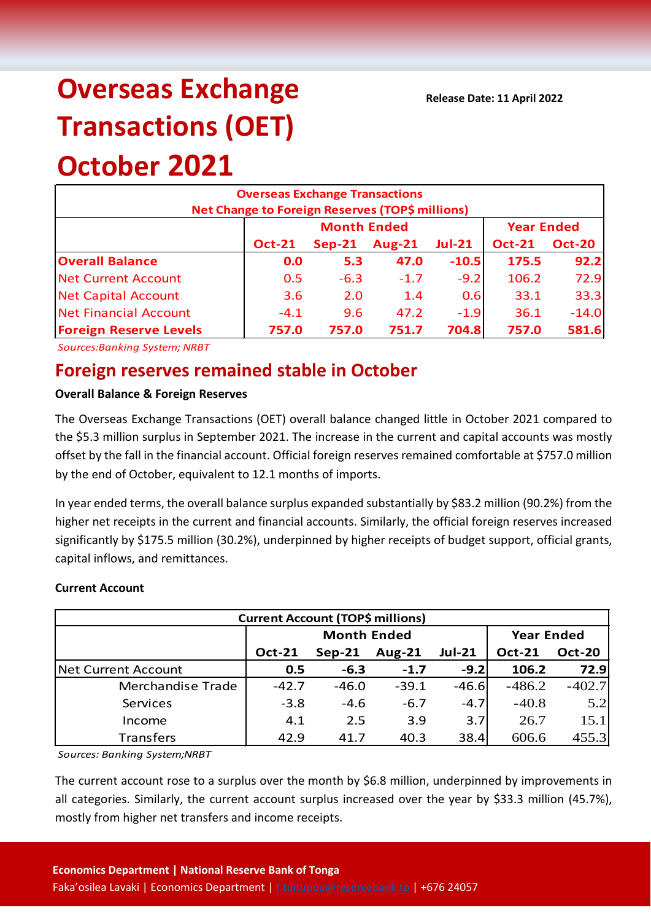# **Overseas Exchange Transactions (OET) October 2021**

### **Overseas Exchange Transactions Net Change to Foreign Reserves (TOP\$ millions) Oct-21 Sep-21 Aug-21 Jul-21 Oct-21 Oct-20 Overall Balance 0.0 5.3 47.0 -10.5 175.5 92.2** Net Current Account 1  $\overline{0.5}$  -6.3 -1.7 -9.2 106.2 72.9 Net Capital Account 1 2.6 2.0 1.4 0.6 33.1 33.3 Net Financial Account 1 4.1 9.6 47.2 -1.9 36.1 -14.0 **Foreign Reserve Levels 757.0 757.0 751.7 704.8 757.0 581.6 Month Ended Year Ended**

*Sources:Banking System; NRBT*

## **Foreign reserves remained stable in October**

#### **Overall Balance & Foreign Reserves**

The Overseas Exchange Transactions (OET) overall balance changed little in October 2021 compared to the \$5.3 million surplus in September 2021. The increase in the current and capital accounts was mostly offset by the fall in the financial account. Official foreign reserves remained comfortable at \$757.0 million by the end of October, equivalent to 12.1 months of imports.

In year ended terms, the overall balance surplus expanded substantially by \$83.2 million (90.2%) from the higher net receipts in the current and financial accounts. Similarly, the official foreign reserves increased significantly by \$175.5 million (30.2%), underpinned by higher receipts of budget support, official grants, capital inflows, and remittances.

#### **Current Account**

| <b>Current Account (TOP\$ millions)</b> |                    |          |               |               |                   |               |  |  |
|-----------------------------------------|--------------------|----------|---------------|---------------|-------------------|---------------|--|--|
|                                         | <b>Month Ended</b> |          |               |               | <b>Year Ended</b> |               |  |  |
|                                         | <b>Oct-21</b>      | $Sep-21$ | <b>Aug-21</b> | <b>Jul-21</b> | <b>Oct-21</b>     | <b>Oct-20</b> |  |  |
| Net Current Account                     | 0.5                | $-6.3$   | $-1.7$        | $-9.2$        | 106.2             | 72.9          |  |  |
| Merchandise Trade                       | $-42.7$            | $-46.0$  | $-39.1$       | $-46.6$       | $-486.2$          | $-402.7$      |  |  |
| Services                                | $-3.8$             | $-4.6$   | $-6.7$        | $-4.7$        | $-40.8$           | 5.2           |  |  |
| Income                                  | 4.1                | 2.5      | 3.9           | 3.7           | 26.7              | 15.1          |  |  |
| <b>Transfers</b>                        | 42.9               | 41.7     | 40.3          | 38.4          | 606.6             | 455.3         |  |  |

*Sources: Banking System;NRBT*

The current account rose to a surplus over the month by \$6.8 million, underpinned by improvements in all categories. Similarly, the current account surplus increased over the year by \$33.3 million (45.7%), mostly from higher net transfers and income receipts.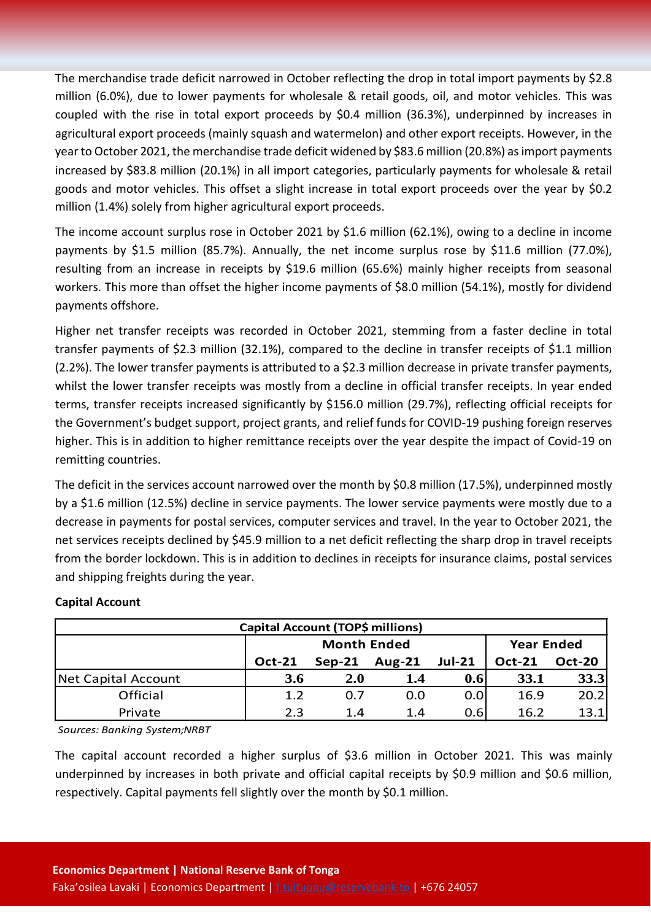The merchandise trade deficit narrowed in October reflecting the drop in total import payments by \$2.8 million (6.0%), due to lower payments for wholesale & retail goods, oil, and motor vehicles. This was coupled with the rise in total export proceeds by \$0.4 million (36.3%), underpinned by increases in agricultural export proceeds (mainly squash and watermelon) and other export receipts. However, in the year to October 2021, the merchandise trade deficit widened by \$83.6 million (20.8%) as import payments increased by \$83.8 million (20.1%) in all import categories, particularly payments for wholesale & retail goods and motor vehicles. This offset a slight increase in total export proceeds over the year by \$0.2 million (1.4%) solely from higher agricultural export proceeds.

The income account surplus rose in October 2021 by \$1.6 million (62.1%), owing to a decline in income payments by \$1.5 million (85.7%). Annually, the net income surplus rose by \$11.6 million (77.0%), resulting from an increase in receipts by \$19.6 million (65.6%) mainly higher receipts from seasonal workers. This more than offset the higher income payments of \$8.0 million (54.1%), mostly for dividend payments offshore.

Higher net transfer receipts was recorded in October 2021, stemming from a faster decline in total transfer payments of \$2.3 million (32.1%), compared to the decline in transfer receipts of \$1.1 million (2.2%). The lower transfer payments is attributed to a \$2.3 million decrease in private transfer payments, whilst the lower transfer receipts was mostly from a decline in official transfer receipts. In year ended terms, transfer receipts increased significantly by \$156.0 million (29.7%), reflecting official receipts for the Government's budget support, project grants, and relief funds for COVID-19 pushing foreign reserves higher. This is in addition to higher remittance receipts over the year despite the impact of Covid-19 on remitting countries.

The deficit in the services account narrowed over the month by \$0.8 million (17.5%), underpinned mostly by a \$1.6 million (12.5%) decline in service payments. The lower service payments were mostly due to a decrease in payments for postal services, computer services and travel. In the year to October 2021, the net services receipts declined by \$45.9 million to a net deficit reflecting the sharp drop in travel receipts from the border lockdown. This is in addition to declines in receipts for insurance claims, postal services and shipping freights during the year.

#### **Capital Account**

| Capital Account (TOP\$ millions) |               |                    |                   |               |               |               |  |  |
|----------------------------------|---------------|--------------------|-------------------|---------------|---------------|---------------|--|--|
|                                  |               | <b>Month Ended</b> | <b>Year Ended</b> |               |               |               |  |  |
|                                  | <b>Oct-21</b> | $Sep-21$           | Aug- $21$         | <b>Jul-21</b> | <b>Oct-21</b> | <b>Oct-20</b> |  |  |
| Net Capital Account              | 3.6           | <b>2.0</b>         | 1.4               | 0.6           | 33.1          | 33.3          |  |  |
| Official                         | 1.2           | 0.7                | 0.0               | 0.0           | 16.9          | 20.2          |  |  |
| Private                          | 2.3           | 1.4                | 1.4               | 0.6           | 16.2          | 13.1          |  |  |

*Sources: Banking System;NRBT*

The capital account recorded a higher surplus of \$3.6 million in October 2021. This was mainly underpinned by increases in both private and official capital receipts by \$0.9 million and \$0.6 million, respectively. Capital payments fell slightly over the month by \$0.1 million.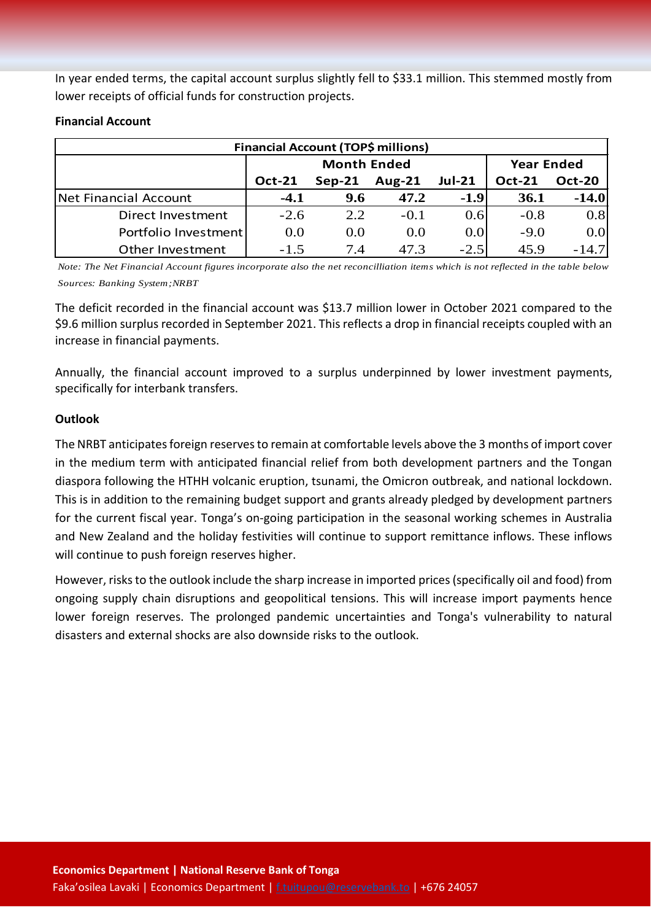In year ended terms, the capital account surplus slightly fell to \$33.1 million. This stemmed mostly from lower receipts of official funds for construction projects.

| Financial Account (TOP\$ millions) |               |                    |                   |                     |               |               |  |  |  |
|------------------------------------|---------------|--------------------|-------------------|---------------------|---------------|---------------|--|--|--|
|                                    |               | <b>Month Ended</b> | <b>Year Ended</b> |                     |               |               |  |  |  |
|                                    | <b>Oct-21</b> | $Sep-21$           | <b>Aug-21</b>     | <b>Jul-21</b>       | <b>Oct-21</b> | <b>Oct-20</b> |  |  |  |
| Net Financial Account              | $-4.1$        | 9.6                | 47.2              | $-1.9$              | 36.1          | $-14.0$       |  |  |  |
| Direct Investment                  | $-2.6$        | 2.2                | $-0.1$            | 0.6                 | $-0.8$        | 0.8           |  |  |  |
| Portfolio Investment               | 0.0           | 0.0                | 0.0               | 0.0 <sub>l</sub>    | $-9.0$        | 0.01          |  |  |  |
| Other Investment                   | $-1.5$        | 7.4                | 47.3              | $-2.5$ <sup>1</sup> | 45.9          | $-14.7$       |  |  |  |

#### **Financial Account**

*Note: The Net Financial Account figures incorporate also the net reconcilliation items which is not reflected in the table below Sources: Banking System;NRBT*

The deficit recorded in the financial account was \$13.7 million lower in October 2021 compared to the \$9.6 million surplus recorded in September 2021. This reflects a drop in financial receipts coupled with an increase in financial payments.

Annually, the financial account improved to a surplus underpinned by lower investment payments, specifically for interbank transfers.

#### **Outlook**

The NRBT anticipates foreign reserves to remain at comfortable levels above the 3 months of import cover in the medium term with anticipated financial relief from both development partners and the Tongan diaspora following the HTHH volcanic eruption, tsunami, the Omicron outbreak, and national lockdown. This is in addition to the remaining budget support and grants already pledged by development partners for the current fiscal year. Tonga's on-going participation in the seasonal working schemes in Australia and New Zealand and the holiday festivities will continue to support remittance inflows. These inflows will continue to push foreign reserves higher.

However, risks to the outlook include the sharp increase in imported prices(specifically oil and food) from ongoing supply chain disruptions and geopolitical tensions. This will increase import payments hence lower foreign reserves. The prolonged pandemic uncertainties and Tonga's vulnerability to natural disasters and external shocks are also downside risks to the outlook.